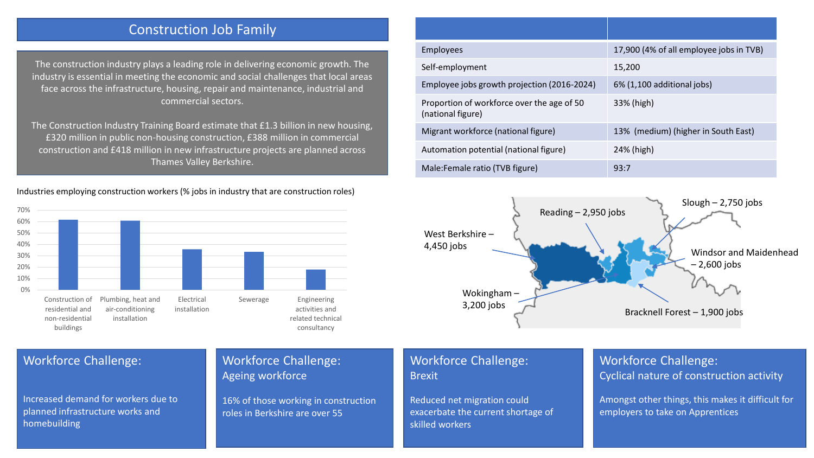# Construction Job Family

The construction industry plays a leading role in delivering economic growth. The industry is essential in meeting the economic and social challenges that local areas face across the infrastructure, housing, repair and maintenance, industrial and commercial sectors.

The Construction Industry Training Board estimate that £1.3 billion in new housing, £320 million in public non-housing construction, £388 million in commercial construction and £418 million in new infrastructure projects are planned across Thames Valley Berkshire.

Industries employing construction workers (% jobs in industry that are construction roles)



| <b>Employees</b>                                                | 17,900 (4% of all employee jobs in TVB) |
|-----------------------------------------------------------------|-----------------------------------------|
| Self-employment                                                 | 15,200                                  |
| Employee jobs growth projection (2016-2024)                     | 6% (1,100 additional jobs)              |
| Proportion of workforce over the age of 50<br>(national figure) | 33% (high)                              |
| Migrant workforce (national figure)                             | 13% (medium) (higher in South East)     |
| Automation potential (national figure)                          | 24% (high)                              |
| Male: Female ratio (TVB figure)                                 | 93:7                                    |



#### Workforce Challenge:

Increased demand for workers due to planned infrastructure works and homebuilding

## Workforce Challenge: Ageing workforce

16% of those working in construction roles in Berkshire are over 55

### Workforce Challenge: Brexit

Reduced net migration could exacerbate the current shortage of skilled workers

# Workforce Challenge: Cyclical nature of construction activity

Amongst other things, this makes it difficult for employers to take on Apprentices